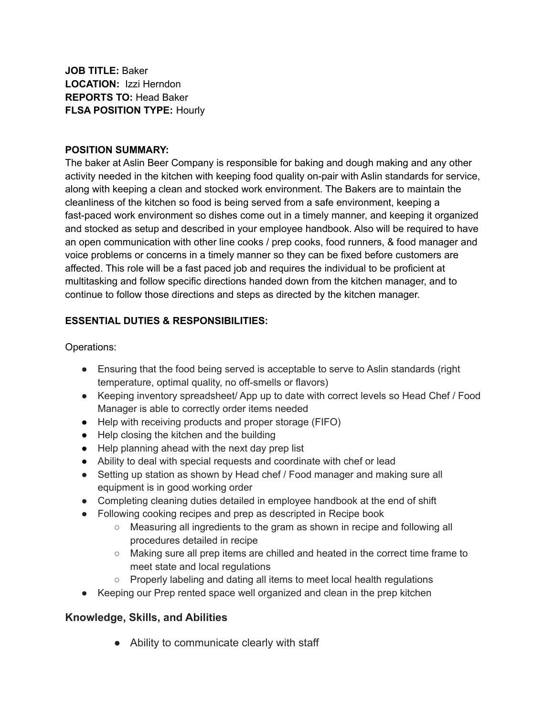**JOB TITLE:** Baker **LOCATION:** Izzi Herndon **REPORTS TO:** Head Baker **FLSA POSITION TYPE:** Hourly

#### **POSITION SUMMARY:**

The baker at Aslin Beer Company is responsible for baking and dough making and any other activity needed in the kitchen with keeping food quality on-pair with Aslin standards for service, along with keeping a clean and stocked work environment. The Bakers are to maintain the cleanliness of the kitchen so food is being served from a safe environment, keeping a fast-paced work environment so dishes come out in a timely manner, and keeping it organized and stocked as setup and described in your employee handbook. Also will be required to have an open communication with other line cooks / prep cooks, food runners, & food manager and voice problems or concerns in a timely manner so they can be fixed before customers are affected. This role will be a fast paced job and requires the individual to be proficient at multitasking and follow specific directions handed down from the kitchen manager, and to continue to follow those directions and steps as directed by the kitchen manager.

### **ESSENTIAL DUTIES & RESPONSIBILITIES:**

Operations:

- Ensuring that the food being served is acceptable to serve to Aslin standards (right temperature, optimal quality, no off-smells or flavors)
- Keeping inventory spreadsheet/ App up to date with correct levels so Head Chef / Food Manager is able to correctly order items needed
- Help with receiving products and proper storage (FIFO)
- Help closing the kitchen and the building
- Help planning ahead with the next day prep list
- Ability to deal with special requests and coordinate with chef or lead
- Setting up station as shown by Head chef / Food manager and making sure all equipment is in good working order
- Completing cleaning duties detailed in employee handbook at the end of shift
- Following cooking recipes and prep as descripted in Recipe book
	- Measuring all ingredients to the gram as shown in recipe and following all procedures detailed in recipe
	- Making sure all prep items are chilled and heated in the correct time frame to meet state and local regulations
	- Properly labeling and dating all items to meet local health regulations
- Keeping our Prep rented space well organized and clean in the prep kitchen

## **Knowledge, Skills, and Abilities**

● Ability to communicate clearly with staff